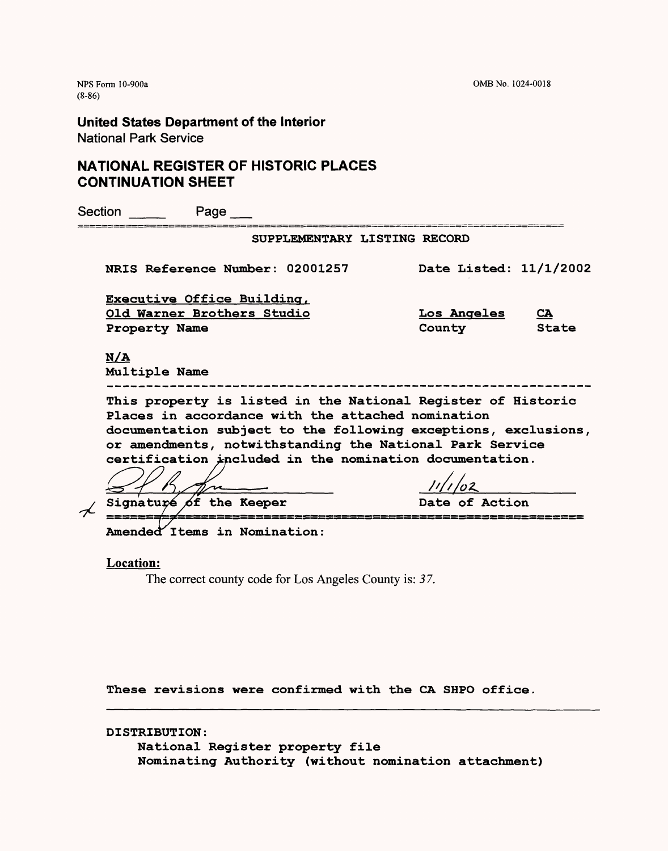NFS Form 10-900a OMB No. 1024-0018

(8-86)

**United States Department of the Interior** National Park Service

## **NATIONAL REGISTER OF HISTORIC PLACES CONTINUATION SHEET**

| Section |                      | Page                                   |                                                                                                                                                                                                                                                                                                            |                        |                           |
|---------|----------------------|----------------------------------------|------------------------------------------------------------------------------------------------------------------------------------------------------------------------------------------------------------------------------------------------------------------------------------------------------------|------------------------|---------------------------|
|         |                      |                                        | SUPPLEMENTARY LISTING RECORD                                                                                                                                                                                                                                                                               |                        |                           |
|         |                      | <b>NRIS Reference Number: 02001257</b> |                                                                                                                                                                                                                                                                                                            | Date Listed: 11/1/2002 |                           |
|         |                      | Executive Office Building,             |                                                                                                                                                                                                                                                                                                            |                        |                           |
|         |                      | Old Warner Brothers Studio             |                                                                                                                                                                                                                                                                                                            | <b>Los Angeles</b>     | $\underline{\mathbf{CA}}$ |
|         | Property Name        |                                        |                                                                                                                                                                                                                                                                                                            | County                 | State                     |
|         | N/A<br>Multiple Name |                                        |                                                                                                                                                                                                                                                                                                            |                        |                           |
|         |                      |                                        | This property is listed in the National Register of Historic<br>Places in accordance with the attached nomination<br>documentation subject to the following exceptions, exclusions,<br>or amendments, notwithstanding the National Park Service<br>certification included in the nomination documentation. |                        |                           |
|         |                      |                                        |                                                                                                                                                                                                                                                                                                            |                        |                           |
|         |                      | Signature of the Keeper                |                                                                                                                                                                                                                                                                                                            | Date of Action         |                           |
|         |                      | Amended Items in Nomination:           |                                                                                                                                                                                                                                                                                                            |                        |                           |

**Location:**

The correct county code for Los Angeles County is: *37.*

These revisions were confirmed with the CA SHPO office.

DISTRIBUTION:

National Register property file Nominating Authority (without nomination attachment)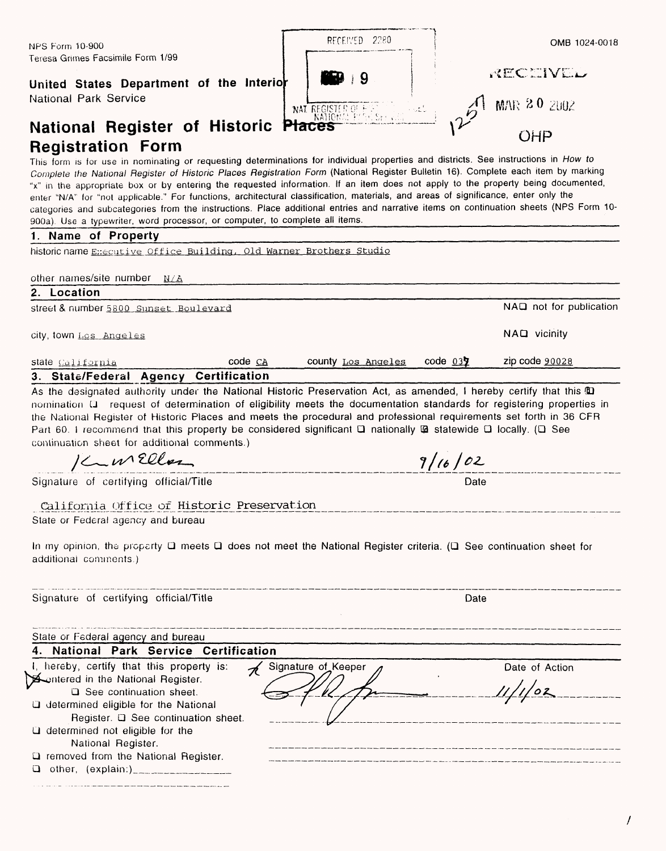## **United State**

| NPS Form 10-900                                                                                                                                                                                                                                                       | RECEIVED 2280            | OMB 1024-0018 |  |
|-----------------------------------------------------------------------------------------------------------------------------------------------------------------------------------------------------------------------------------------------------------------------|--------------------------|---------------|--|
| Teresa Grimes Facsimile Form 1/99<br>United States Department of the Interior                                                                                                                                                                                         | <b>PERSONAL</b><br>- ≀ 9 | RECEIVEL      |  |
| National Park Service<br>National Register of Historic Places (2002) 12 MAR 20 2002                                                                                                                                                                                   |                          |               |  |
| <b>Registration Form</b>                                                                                                                                                                                                                                              |                          |               |  |
| This form is for use in nominating or requesting determinations for individual properties and districts. See instructions in How to<br>Contract Multiprof Projeter of Ulgtoria Placea Pogictration Ferm (National Register Rulletin 16) Complete each item by marking |                          |               |  |

This form is for *Complete the National Register of Historic Places Registration Form (National Register Bulletin 16). Complete each item by marking* "x" in the appropriate box or by entering the requested information. If an item does not apply to the property being documented, enter "N/A" for "not applicable." For functions, architectural classification, materials, and areas of significance, enter only the categories and subcategories from the instructions. Place additional entries and narrative items on continuation sheets (NPS Form 10- 900a). Use a typewriter, word processor, or computer, to complete all items.

## **1. Name of Property**

historic name Executive Office Building, Old Warner Brothers Studio

other names/site number  $N/A$ 

## **2. Location\_\_\_\_\_\_\_\_\_\_\_\_\_\_\_\_\_\_\_\_\_\_\_\_\_\_\_\_\_\_\_\_\_\_\_\_\_\_\_\_\_\_\_\_\_\_\_\_\_\_\_\_\_\_\_\_\_\_\_\_\_\_\_**

street & number 5800 sunset Boulevard NAQ not for publication

LJ removed from the National Register. LJ other, (explain:)\_\_\_\_\_\_\_\_\_\_\_\_

city, town Los Angeles **NAD** vicinity

| state California                                                                                                                                                                                                                                                                  | $code \text{ } CA$                         | county Los Angeles                                                                                                                                                                                                                                                                                                                                                                                                                                                                                     | $code$ 037 | zip code 90028 |
|-----------------------------------------------------------------------------------------------------------------------------------------------------------------------------------------------------------------------------------------------------------------------------------|--------------------------------------------|--------------------------------------------------------------------------------------------------------------------------------------------------------------------------------------------------------------------------------------------------------------------------------------------------------------------------------------------------------------------------------------------------------------------------------------------------------------------------------------------------------|------------|----------------|
| 3. State/Federal Agency Certification                                                                                                                                                                                                                                             |                                            |                                                                                                                                                                                                                                                                                                                                                                                                                                                                                                        |            |                |
| continuation sheet for additional comments.)<br>Kunellon                                                                                                                                                                                                                          |                                            | As the designated authority under the National Historic Preservation Act, as amended, I hereby certify that this @<br>nomination Q request of determination of eligibility meets the documentation standards for registering properties in<br>the National Register of Historic Places and meets the procedural and professional requirements set forth in 36 CFR<br>Part 60. I recommend that this property be considered significant $\Box$ nationally $\Box$ statewide $\Box$ locally. ( $\Box$ See | 9/16/02    |                |
| Signature of certifying official/Title                                                                                                                                                                                                                                            |                                            |                                                                                                                                                                                                                                                                                                                                                                                                                                                                                                        | Date       |                |
| State or Federal agency and bureau<br>additional comments.)                                                                                                                                                                                                                       | California Office of Historic Preservation | In my opinion, the property $\Box$ meets $\Box$ does not meet the National Register criteria. ( $\Box$ See continuation sheet for                                                                                                                                                                                                                                                                                                                                                                      |            |                |
| Signature of certifying official/Title                                                                                                                                                                                                                                            |                                            |                                                                                                                                                                                                                                                                                                                                                                                                                                                                                                        | Date       |                |
| State or Federal agency and bureau                                                                                                                                                                                                                                                |                                            |                                                                                                                                                                                                                                                                                                                                                                                                                                                                                                        |            |                |
| 4. National Park Service Certification                                                                                                                                                                                                                                            |                                            |                                                                                                                                                                                                                                                                                                                                                                                                                                                                                                        |            |                |
| I, hereby, certify that this property is:<br><b>A</b> entered in the National Register.<br>$\Box$ See continuation sheet.<br><b>Q</b> determined eligible for the National<br>Register. Q See continuation sheet.<br>$\Box$ determined not eligible for the<br>National Register. |                                            | Signature of Keeper                                                                                                                                                                                                                                                                                                                                                                                                                                                                                    |            | Date of Action |

 $\prime$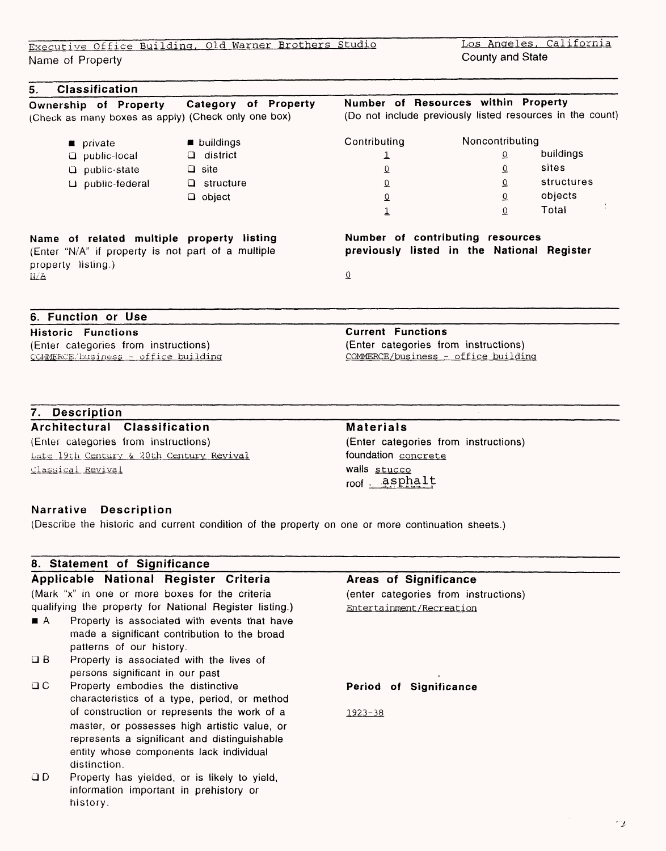Executive Office Building, Old Warner Brothers Studio

Name of Property

## **5. Classification**

**Ownership of Property Category of Property** (Check as many boxes as apply) (Check only one box)

> **private** Q public-local G public-state U public-federal  $\blacksquare$  buildings Q district Q site Q structure

a object

**Name of related multiple property listing** (Enter "N/A" if property is not part of a multiple property listing.)  $N/A$ 

## **7. Description**

Late 19th Century & 2Oth Century Revival Classical Revival

- Q B Property is associated with the lives of
- Q C Property embodies the distinctive
- 

 $\sim_L$ 

o. buildings *<sup>0</sup>*sites <sup>o</sup> structures objects Total

# **Number of contributing resources**

**Number of Resources within Property**

(Do not include previously listed resources in the count)

Noncontributing

 $\overline{0}$  $\mathbf{O}$ 

**previously listed in the National Register**

 $\overline{0}$ 

**Contributing** *i*  o o o 1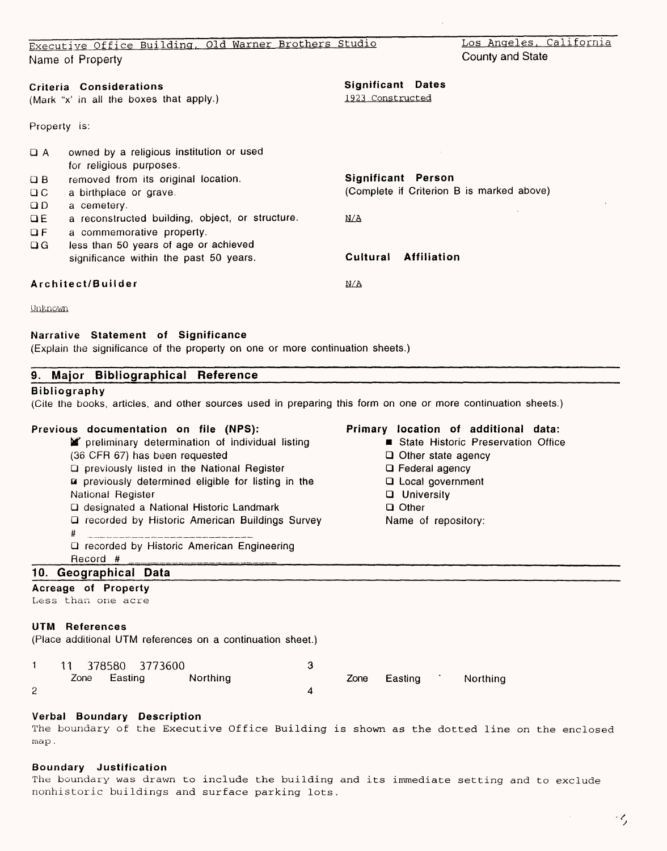|                         | Executive Office Building, Old Warner Brothers Studio                           |                                              |                    | Los Angeles, California                   |
|-------------------------|---------------------------------------------------------------------------------|----------------------------------------------|--------------------|-------------------------------------------|
|                         | Name of Property                                                                |                                              |                    | County and State                          |
|                         | Criteria Considerations<br>(Mark "x' in all the boxes that apply.)              | <b>Significant Dates</b><br>1923 Constructed |                    |                                           |
| Property is:            |                                                                                 |                                              |                    |                                           |
| $\Box$ A                | owned by a religious institution or used<br>for religious purposes.             |                                              |                    |                                           |
| $\Box B$                | removed from its original location.                                             | Significant Person                           |                    |                                           |
| $\Box C$                | a birthplace or grave.                                                          |                                              |                    | (Complete if Criterion B is marked above) |
| QD                      | a cemetery.                                                                     |                                              |                    |                                           |
| $\overline{a}$          | a reconstructed building, object, or structure.                                 | N/A                                          |                    |                                           |
| $\mathbf{G} \mathbf{F}$ | a commemorative property.                                                       |                                              |                    |                                           |
| $\Box G$                | less than 50 years of age or achieved<br>significance within the past 50 years. | Cultural                                     | <b>Affiliation</b> |                                           |
|                         | Architect/Builder                                                               | N/A                                          |                    |                                           |
| Unknown                 |                                                                                 |                                              |                    |                                           |

#### **Narrative Statement of Significance**

(Explain the significance of the property on one or more continuation sheets.)

#### **9. Major Bibliographical Reference**

## **Bibliography**

(Cite the books, articles, and other sources used in preparing this form on one or more continuation sheets.)

## **Previous documentation on file (NPS):**

- **preliminary determination of individual listing** (36 CFR 67) has been requested Q previously listed in the National Register a previously determined eligible for listing in the National Register
	- Q designated a National Historic Landmark
	- Q recorded by Historic American Buildings Survey
	- # \_\_\_\_\_\_\_\_\_\_\_\_\_\_\_\_\_\_\_\_\_\_\_\_\_\_\_
	- Q recorded by Historic American Engineering
	- Record # \_

## **10. Geographical Data**

## **Acreage of Property**

Less than one acre

### **UTM References**

(Place additional UTM references on a continuation sheet.)

|  |              | 11 378580 3773600 |          |  |              |          |
|--|--------------|-------------------|----------|--|--------------|----------|
|  | Zone Easting |                   | Northing |  | Zone Easting | Northing |
|  |              |                   |          |  |              |          |

## **Verbal Boundary Description**

The boundary of the Executive Office Building is shown as the dotted line on the enclosed map .

### **Boundary Justification**

The boundary was drawn to include the building and its immediate setting and to exclude nonhistoric buildings and surface parking lots.

## **Primary location of additional data:**

- **E** State Historic Preservation Office
- Q Other state agency
- Q Federal agency
- Q Local government
- Q University
- a Other
- Name of repository: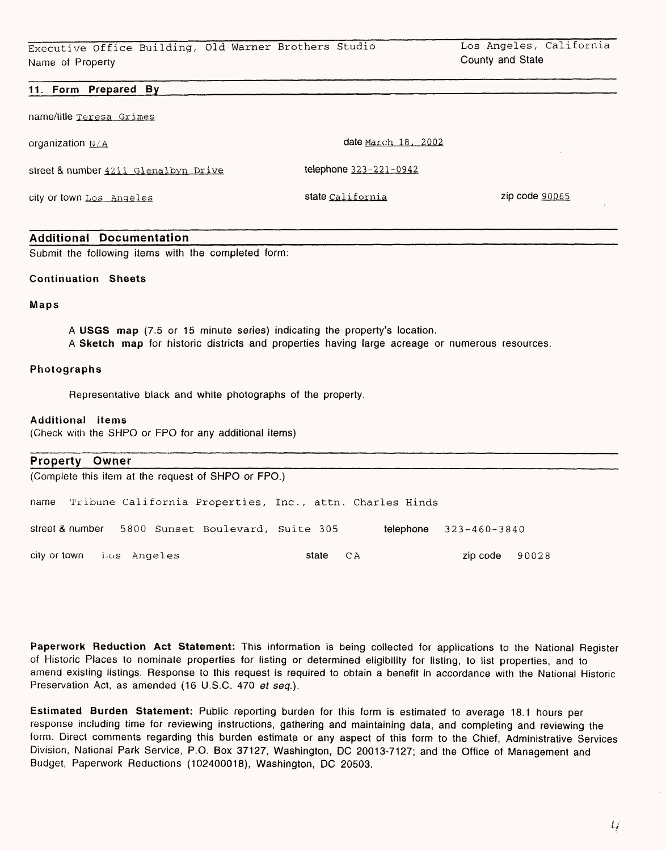### **11. Form Prepared By**

name/title Teresa Grimes

organization  $N/A$ 

street & number 4211 Glenalbyn Drive

city or town Los Angeles

state California zip code 90065

**telephone** 323-221-0942

date March 18. 2002

### **Additional Documentation**

Submit the following items with the completed form:

### **Continuation Sheets**

### **Maps**

**A USGS map** (7.5 or 15 minute series) indicating the property's location. A Sketch map for historic districts and properties having large acreage or numerous resources.

#### **Photographs**

Representative black and white photographs of the property.

### **Additional items**

(Check with the SHPO or FPO for any additional items)

| <b>Property Owner</b> |                          |                                                     |       |                                                               |                              |       |  |
|-----------------------|--------------------------|-----------------------------------------------------|-------|---------------------------------------------------------------|------------------------------|-------|--|
|                       |                          | (Complete this item at the request of SHPO or FPO.) |       |                                                               |                              |       |  |
|                       |                          |                                                     |       | hame Tribune California Properties, Inc., attn. Charles Hinds |                              |       |  |
| street & number       |                          | 5800 Sunset Boulevard, Suite 305                    |       |                                                               | telephone $323 - 460 - 3840$ |       |  |
|                       | city or town Los Angeles |                                                     | state | СA                                                            | zip code                     | 90028 |  |

**Paperwork Reduction Act Statement:** This information is being collected for applications to the National Register of Historic Places to nominate properties for listing or determined eligibility for listing, to list properties, and to amend existing listings. Response to this request is required to obtain a benefit in accordance with the National Historic Preservation Act, as amended (16 U.S.C. 470 *et seq.).*

**Estimated Burden Statement:** Public reporting burden for this form is estimated to average 18.1 hours per response including time for reviewing instructions, gathering and maintaining data, and completing and reviewing the form. Direct comments regarding this burden estimate or any aspect of this form to the Chief, Administrative Services Division, National Park Service, P.O. Box 37127, Washington, DC 20013-7127; and the Office of Management and Budget, Paperwork Reductions (102400018), Washington, DC 20503.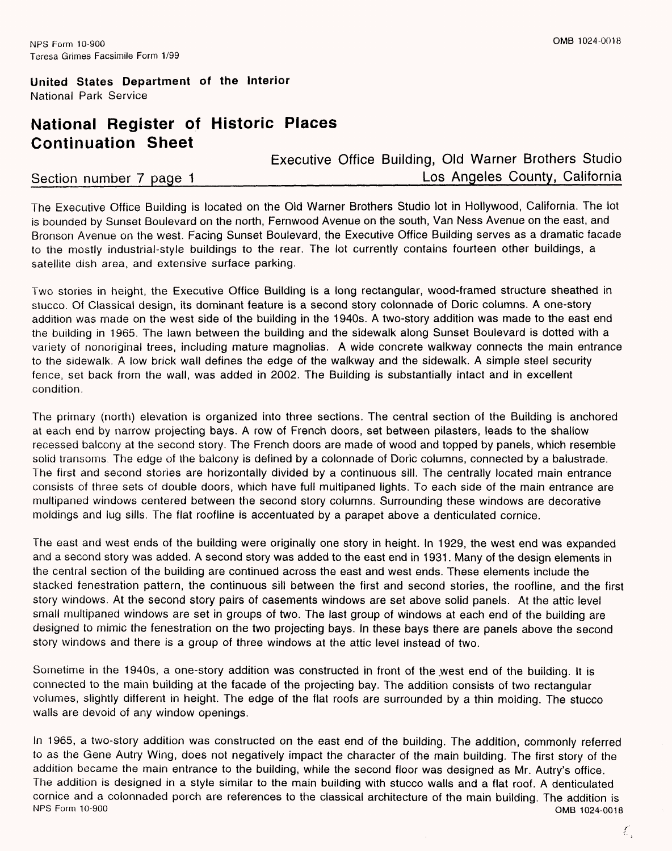## **National Register of Historic Places Continuation Sheet**

Executive Office Building, Old Warner Brothers Studio Section number 7 page 1 and 1 and 1 and 1 and 1 and 1 and 1 and 1 and 1 and 1 and 1 and 1 and 1 and 1 and 1 and 1 and 1 and 1 and 1 and 1 and 1 and 1 and 1 and 1 and 1 and 1 and 1 and 1 and 1 and 1 and 1 and 1 and 1 and 1

The Executive Office Building is located on the Old Warner Brothers Studio lot in Hollywood, California. The Jot is bounded by Sunset Boulevard on the north, Fernwood Avenue on the south, Van Ness Avenue on the east, and Bronson Avenue on the west. Facing Sunset Boulevard, the Executive Office Building serves as a dramatic facade to the mostly industrial-style buildings to the rear. The lot currently contains fourteen other buildings, a satellite dish area, and extensive surface parking.

Two stories in height, the Executive Office Building is a long rectangular, wood-framed structure sheathed in stucco. Of Classical design, its dominant feature is a second story colonnade of Doric columns. A one-story addition was made on the west side of the building in the 1940s. A two-story addition was made to the east end the building in 1965. The lawn between the building and the sidewalk along Sunset Boulevard is dotted with a variety of nonoriginal trees, including mature magnolias. A wide concrete walkway connects the main entrance to the sidewalk. A low brick wall defines the edge of the walkway and the sidewalk. A simple steel security fence, set back from the wall, was added in 2002. The Building is substantially intact and in excellent condition.

The primary (north) elevation is organized into three sections. The central section of the Building is anchored at each end by narrow projecting bays. A row of French doors, set between pilasters, leads to the shallow recessed balcony at the second story. The French doors are made of wood and topped by panels, which resemble solid transoms. The edge of the balcony is defined by a colonnade of Doric columns, connected by a balustrade. The first and second stories are horizontally divided by a continuous sill. The centrally located main entrance consists of three sets of double doors, which have full multipaned lights. To each side of the main entrance are multipaned windows centered between the second story columns. Surrounding these windows are decorative moldings and lug sills. The flat roofline is accentuated by a parapet above a denticulated cornice.

The east and west ends of the building were originally one story in height. In 1929, the west end was expanded and a second story was added. A second story was added to the east end in 1931. Many of the design elements in the central section of the building are continued across the east and west ends. These elements include the stacked fenestration pattern, the continuous sill between the first and second stories, the roofline, and the first story windows. At the second story pairs of casements windows are set above solid panels. At the attic level small multipaned windows are set in groups of two. The last group of windows at each end of the building are designed to mimic the fenestration on the two projecting bays. In these bays there are panels above the second story windows and there is a group of three windows at the attic level instead of two.

Sometime in the 1940s, a one-story addition was constructed in front of the west end of the building. It is connected to the main building at the facade of the projecting bay. The addition consists of two rectangular volumes, slightly different in height. The edge of the flat roofs are surrounded by a thin molding. The stucco walls are devoid of any window openings.

In 1965, a two-story addition was constructed on the east end of the building. The addition, commonly referred to as the Gene Autry Wing, does not negatively impact the character of the main building. The first story of the addition became the main entrance to the building, while the second floor was designed as Mr. Autry's office. The addition is designed in a style similar to the main building with stucco walls and a flat roof. A denticulated cornice and a colonnaded porch are references to the classical architecture of the main building. The addition is<br>NPS Form 10-900 0MB 1024-0018 OMB 1024-0018

Ľ.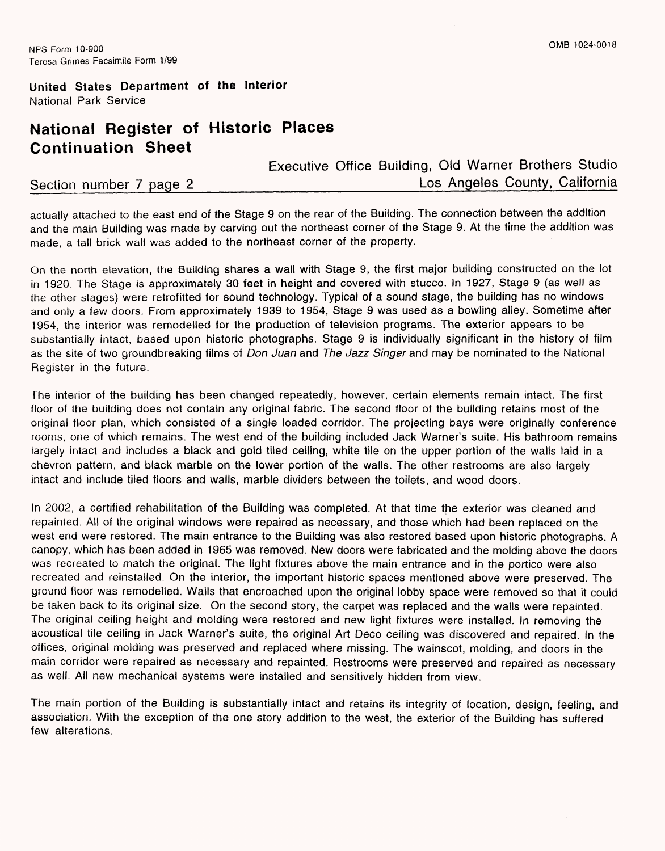## **National Register of Historic Places Continuation Sheet**

Executive Office Building, Old Warner Brothers Studio Section number 7 page 2 **Los Angeles County, California** 

actually attached to the east end of the Stage 9 on the rear of the Building. The connection between the addition and the main Building was made by carving out the northeast corner of the Stage 9. At the time the addition was made, a tall brick wall was added to the northeast corner of the property.

On the north elevation, the Building shares a wall with Stage 9, the first major building constructed on the lot in 1920. The Stage is approximately 30 feet in height and covered with stucco. In 1927, Stage 9 (as well as the other stages) were retrofitted for sound technology. Typical of a sound stage, the building has no windows and only a few doors. From approximately 1939 to 1954, Stage 9 was used as a bowling alley. Sometime after 1954, the interior was remodelled for the production of television programs. The exterior appears to be substantially intact, based upon historic photographs. Stage 9 is individually significant in the history of film as the site of two groundbreaking films of *Don Juan* and *The Jazz Singer* and may be nominated to the National Register in the future.

The interior of the building has been changed repeatedly, however, certain elements remain intact. The first floor of the building does not contain any original fabric. The second floor of the building retains most of the original floor plan, which consisted of a single loaded corridor. The projecting bays were originally conference rooms, one of which remains. The west end of the building included Jack Warner's suite. His bathroom remains largely intact and includes a black and gold tiled ceiling, white tile on the upper portion of the walls laid in a chevron pattern, and black marble on the lower portion of the walls. The other restrooms are also largely intact and include tiled floors and walls, marble dividers between the toilets, and wood doors.

In 2002, a certified rehabilitation of the Building was completed. At that time the exterior was cleaned and repainted. All of the original windows were repaired as necessary, and those which had been replaced on the west end were restored. The main entrance to the Building was also restored based upon historic photographs. A canopy, which has been added in 1965 was removed. New doors were fabricated and the molding above the doors was recreated to match the original. The light fixtures above the main entrance and in the portico were also recreated and reinstalled. On the interior, the important historic spaces mentioned above were preserved. The ground floor was remodelled. Walls that encroached upon the original lobby space were removed so that it could be taken back to its original size. On the second story, the carpet was replaced and the walls were repainted. The original ceiling height and molding were restored and new light fixtures were installed. In removing the acoustical tile ceiling in Jack Warner's suite, the original Art Deco ceiling was discovered and repaired. In the offices, original molding was preserved and replaced where missing. The wainscot, molding, and doors in the main corridor were repaired as necessary and repainted. Restrooms were preserved and repaired as necessary as well. All new mechanical systems were installed and sensitively hidden from view.

The main portion of the Building is substantially intact and retains its integrity of location, design, feeling, and association. With the exception of the one story addition to the west, the exterior of the Building has suffered few alterations.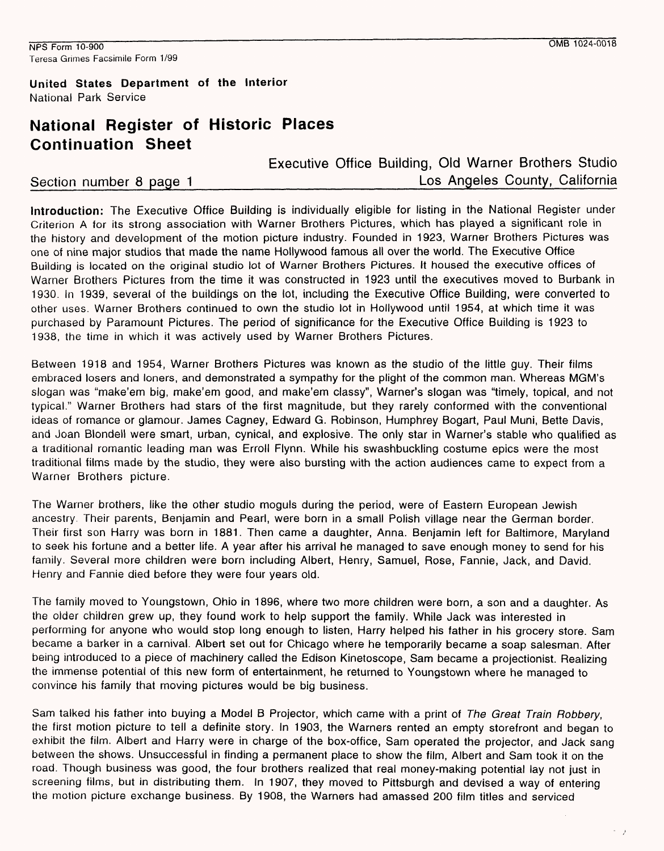$\tau = \gamma$ 

## **United States Department of the Interior** National Park Service

## **National Register of Historic Places Continuation Sheet**

Executive Office Building, Old Warner Brothers Studio Section number 8 page 1 and 1 and 1 and 1 and 1 and 1 and 1 and 1 and 1 and 1 and 1 and 1 and 1 and 1 and 1 and 1 and 1 and 1 and 1 and 1 and 1 and 1 and 1 and 1 and 1 and 1 and 1 and 1 and 1 and 1 and 1 and 1 and 1 and 1

Introduction: The Executive Office Building is individually eligible for listing in the National Register under Criterion A for its strong association with Warner Brothers Pictures, which has played a significant role in the history and development of the motion picture industry. Founded in 1923, Warner Brothers Pictures was one of nine major studios that made the name Hollywood famous all over the world. The Executive Office Building is located on the original studio lot of Warner Brothers Pictures. It housed the executive offices of Warner Brothers Pictures from the time it was constructed in 1923 until the executives moved to Burbank in 1930. In 1939, several of the buildings on the lot, including the Executive Office Building, were converted to other uses. Warner Brothers continued to own the studio lot in Hollywood until 1954, at which time it was purchased by Paramount Pictures. The period of significance for the Executive Office Building is 1923 to 1938, the time in which it was actively used by Warner Brothers Pictures.

Between 1918 and 1954, Warner Brothers Pictures was known as the studio of the little guy. Their films embraced losers and loners, and demonstrated a sympathy for the plight of the common man. Whereas MGM's slogan was "make'em big, make'em good, and make'em classy", Warner's slogan was "timely, topical, and not typical." Warner Brothers had stars of the first magnitude, but they rarely conformed with the conventional ideas of romance or glamour. James Cagney, Edward G. Robinson, Humphrey Bogart, Paul Muni, Bette Davis, and Joan Blondell were smart, urban, cynical, and explosive. The only star in Warner's stable who qualified as a traditional romantic leading man was Erroll Flynn. While his swashbuckling costume epics were the most traditional films made by the studio, they were also bursting with the action audiences came to expect from a Warner Brothers picture.

The Warner brothers, like the other studio moguls during the period, were of Eastern European Jewish ancestry. Their parents, Benjamin and Pearl, were born in a small Polish village near the German border. Their first son Harry was born in 1881. Then came a daughter, Anna. Benjamin left for Baltimore, Maryland to seek his fortune and a better life. A year after his arrival he managed to save enough money to send for his family. Several more children were born including Albert, Henry, Samuel, Rose, Fannie, Jack, and David. Henry and Fannie died before they were four years old.

The family moved to Youngstown, Ohio in 1896, where two more children were born, a son and a daughter. As the older children grew up, they found work to help support the family. While Jack was interested in performing for anyone who would stop long enough to listen, Harry helped his father in his grocery store. Sam became a barker in a carnival. Albert set out for Chicago where he temporarily became a soap salesman. After being introduced to a piece of machinery called the Edison Kinetoscope, Sam became a projectionist. Realizing the immense potential of this new form of entertainment, he returned to Youngstown where he managed to convince his family that moving pictures would be big business.

Sam talked his father into buying a Model B Projector, which came with a print of *The Great Train Robbery,*  the first motion picture to tell a definite story. In 1903, the Warners rented an empty storefront and began to exhibit the film. Albert and Harry were in charge of the box-office, Sam operated the projector, and Jack sang between the shows. Unsuccessful in finding a permanent place to show the film, Albert and Sam took it on the road. Though business was good, the four brothers realized that real money-making potential lay not just in screening films, but in distributing them. In 1907, they moved to Pittsburgh and devised a way of entering the motion picture exchange business. By 1908, the Warners had amassed 200 film titles and serviced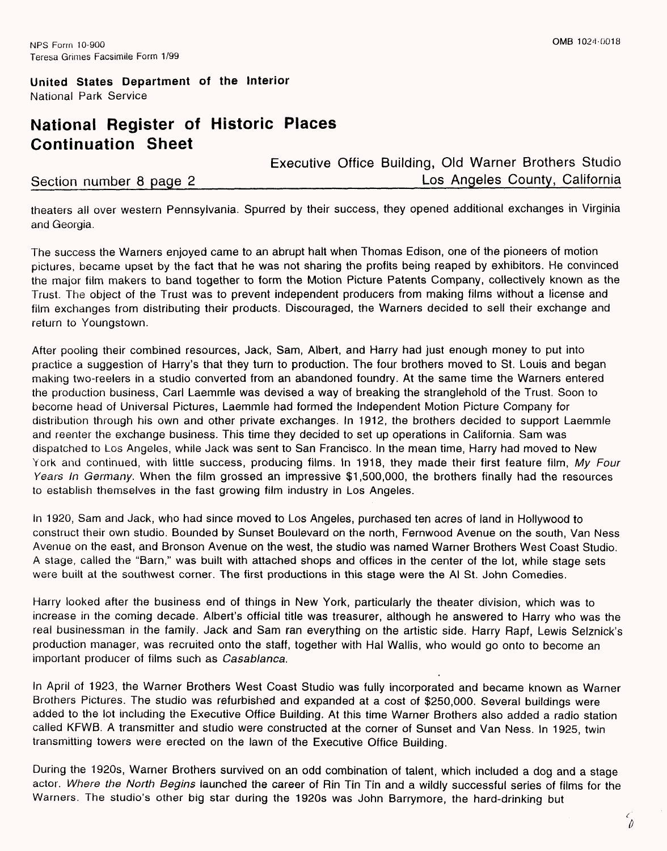## **National Register of Historic Places Continuation Sheet**

Executive Office Building, Old Warner Brothers Studio Section number 8 page 2*\_\_\_\_\_\_\_\_\_\_\_\_\_\_\_\_\_\_\_\_\_\_\_\_\_\_\_\_*Los Angeles County. California

theaters all over western Pennsylvania. Spurred by their success, they opened additional exchanges in Virgihia and Georgia.

The success the Warners enjoyed came to an abrupt halt when Thomas Edison, one of the pioneers of motion pictures, became upset by the fact that he was not sharing the profits being reaped by exhibitors. He convinced the major film makers to band together to form the Motion Picture Patents Company, collectively known as the Trust. The object of the Trust was to prevent independent producers from making films without a license and film exchanges from distributing their products. Discouraged, the Warners decided to sell their exchange and return to Youngstown.

After pooling their combined resources, Jack, Sam, Albert, and Harry had just enough money to put into practice a suggestion of Harry's that they turn to production. The four brothers moved to St. Louis and began making two-reelers in a studio converted from an abandoned foundry. At the same time the Warners entered the production business, Carl Laemmle was devised a way of breaking the stranglehold of the Trust. Soon to become head of Universal Pictures, Laemmle had formed the Independent Motion Picture Company for distribution through his own and other private exchanges. In 1912, the brothers decided to support Laemmle and reenter the exchange business. This time they decided to set up operations in California. Sam was dispatched to Los Angeles, while Jack was sent to San Francisco. In the mean time, Harry had moved to New York and continued, with little success, producing films. In 1918, they made their first feature film, *My Four Years In Germany.* When the film grossed an impressive \$1,500,000, the brothers finally had the resources to establish themselves in the fast growing film industry in Los Angeles.

In 1920, Sam and Jack, who had since moved to Los Angeles, purchased ten acres of land in Hollywood to construct their own studio. Bounded by Sunset Boulevard on the north, Fernwood Avenue on the south, Van Ness Avenue on the east, and Bronson Avenue on the west, the studio was named Warner Brothers West Coast Studio. A stage, called the "Barn," was built with attached shops and offices in the center of the lot, while stage sets were built at the southwest corner. The first productions in this stage were the Al St. John Comedies.

Harry looked after the business end of things in New York, particularly the theater division, which was to increase in the coming decade. Albert's official title was treasurer, although he answered to Harry who was the real businessman in the family. Jack and Sam ran everything on the artistic side. Harry Rapf, Lewis Selznick's production manager, was recruited onto the staff, together with Hal Wallis, who would go onto to become an important producer of films such as *Casablanca.*

In April of 1923, the Warner Brothers West Coast Studio was fully incorporated and became known as Warner Brothers Pictures. The studio was refurbished and expanded at a cost of \$250,000. Several buildings were added to the lot including the Executive Office Building. At this time Warner Brothers also added a radio station called KFWB. A transmitter and studio were constructed at the corner of Sunset and Van Ness. In 1925, twin transmitting towers were erected on the lawn of the Executive Office Building.

During the 1920s, Warner Brothers survived on an odd combination of talent, which included a dog and a stage actor. *Where the North Begins* launched the career of Bin Tin Tin and a wildly successful series of films for the Warners. The studio's other big star during the 1920s was John Barrymore, the hard-drinking but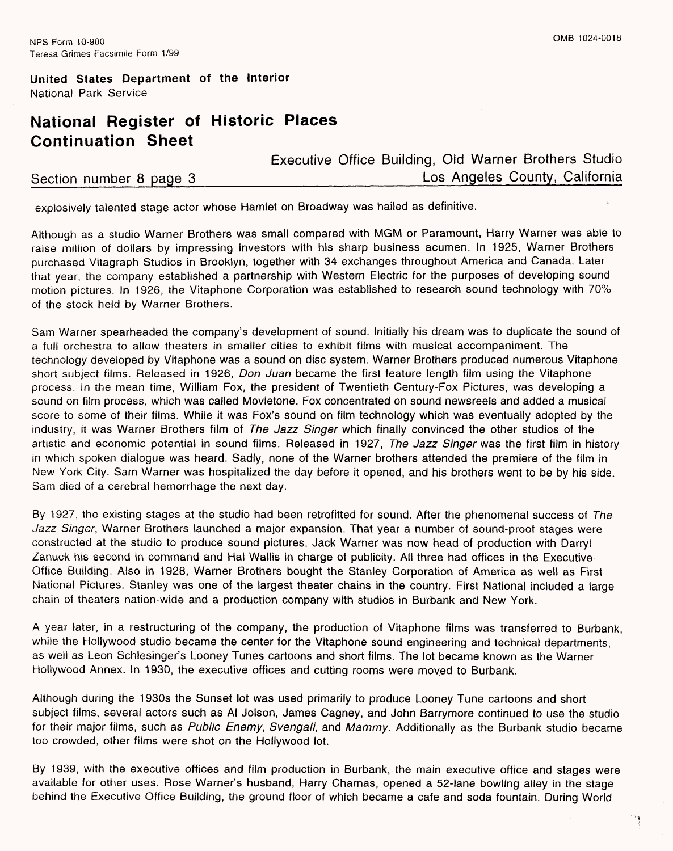## **National Register of Historic Places Continuation Sheet**

Executive Office Building, Old Warner Brothers Studio Section number 8 page 3 and the section number 8 page 3

explosively talented stage actor whose Hamlet on Broadway was hailed as definitive.

Although as a studio Warner Brothers was small compared with MGM or Paramount, Harry Warner was able to raise million of dollars by impressing investors with his sharp business acumen. In 1925, Warner Brothers purchased Vitagraph Studios in Brooklyn, together with 34 exchanges throughout America and Canada. Later that year, the company established a partnership with Western Electric for the purposes of developing sound motion pictures. In 1926, the Vitaphone Corporation was established to research sound technology with 70% of the stock held by Warner Brothers.

Sam Warner spearheaded the company's development of sound. Initially his dream was to duplicate the sound of a full orchestra to allow theaters in smaller cities to exhibit films with musical accompaniment. The technology developed by Vitaphone was a sound on disc system. Warner Brothers produced numerous Vitaphone short subject films. Released in 1926, *Don Juan* became the first feature length film using the Vitaphone process. In the mean time, William Fox, the president of Twentieth Century-Fox Pictures, was developing a sound on film process, which was called Movietone. Fox concentrated on sound newsreels and added a musical score to some of their films. While it was Fox's sound on film technology which was eventually adopted by the industry, it was Warner Brothers film of *The Jazz Singer* which finally convinced the other studios of the artistic and economic potential in sound films. Released in 1927, *The Jazz Singer was* the first film in history in which spoken dialogue was heard. Sadly, none of the Warner brothers attended the premiere of the film in New York City. Sam Warner was hospitalized the day before it opened, and his brothers went to be by his side. Sam died of a cerebral hemorrhage the next day.

By 1927, the existing stages at the studio had been retrofitted for sound. After the phenomenal success of *The Jazz Singer,* Warner Brothers launched a major expansion. That year a number of sound-proof stages were constructed at the studio to produce sound pictures. Jack Warner was now head of production with Darryl Zanuck his second in command and Hal Wallis in charge of publicity. All three had offices in the Executive Office Building. Also in 1928, Warner Brothers bought the Stanley Corporation of America as well as First National Pictures. Stanley was one of the largest theater chains in the country. First National included a large chain of theaters nation-wide and a production company with studios in Burbank and New York.

A year later, in a restructuring of the company, the production of Vitaphone films was transferred to Burbank, while the Hollywood studio became the center for the Vitaphone sound engineering and technical departments, as well as Leon Schlesinger's Looney Tunes cartoons and short films. The lot became known as the Warner Hollywood Annex. In 1930, the executive offices and cutting rooms were moved to Burbank.

Although during the 1930s the Sunset lot was used primarily to produce Looney Tune cartoons and short subject films, several actors such as Al Jolson, James Cagney, and John Barrymore continued to use the studio for their major films, such as *Public Enemy, Svengali,* and *Mammy.* Additionally as the Burbank studio became too crowded, other films were shot on the Hollywood lot.

By 1939, with the executive offices and film production in Burbank, the main executive office and stages were available for other uses. Rose Warner's husband, Harry Charnas, opened a 52-lane bowling alley in the stage behind the Executive Office Building, the ground floor of which became a cafe and soda fountain. During World

ារុ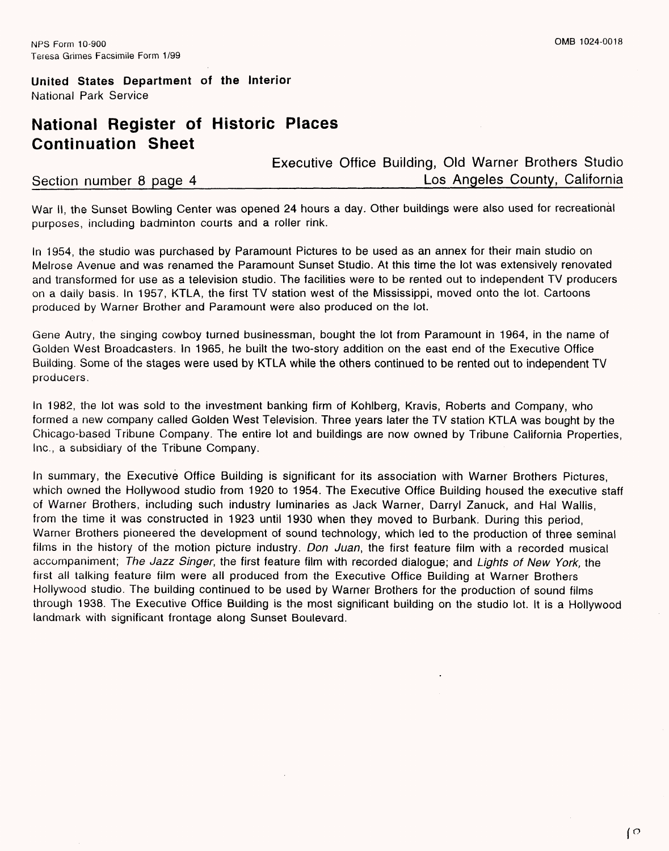## **National Register of Historic Places Continuation Sheet**

Executive Office Building, Old Warner Brothers Studio Section number 8 page 4 and the section number 8 page 4

War II, the Sunset Bowling Center was opened 24 hours a day. Other buildings were also used for recreational purposes, including badminton courts and a roller rink.

In 1954, the studio was purchased by Paramount Pictures to be used as an annex for their main studio on Melrose Avenue and was renamed the Paramount Sunset Studio. At this time the lot was extensively renovated and transformed for use as a television studio. The facilities were to be rented out to independent TV producers on a daily basis. In 1957, KTLA, the first TV station west of the Mississippi, moved onto the lot. Cartoons produced by Warner Brother and Paramount were also produced on the lot.

Gene Autry, the singing cowboy turned businessman, bought the lot from Paramount in 1964, in the name of Golden West Broadcasters. In 1965, he built the two-story addition on the east end of the Executive Office Building. Some of the stages were used by KTLA while the others continued to be rented out to independent TV producers.

In 1982, the lot was sold to the investment banking firm of Kohlberg, Kravis, Roberts and Company, who formed a new company called Golden West Television. Three years later the TV station KTLA was bought by the Chicago-based Tribune Company. The entire lot and buildings are now owned by Tribune California Properties, Inc., a subsidiary of the Tribune Company.

In summary, the Executive Office Building is significant for its association with Warner Brothers Pictures, which owned the Hollywood studio from 1920 to 1954. The Executive Office Building housed the executive staff of Warner Brothers, including such industry luminaries as Jack Warner, Darryl Zanuck, and Hal Wallis, from the time it was constructed in 1923 until 1930 when they moved to Burbank. During this period, Warner Brothers pioneered the development of sound technology, which led to the production of three seminal films in the history of the motion picture industry. *Don Juan,* the first feature film with a recorded musical accompaniment; *The Jazz Singer,* the first feature film with recorded dialogue; and *Lights of New York,* the first all talking feature film were all produced from the Executive Office Building at Warner Brothers Hollywood studio. The building continued to be used by Warner Brothers for the production of sound films through 1938. The Executive Office Building is the most significant building on the studio lot. It is a Hollywood landmark with significant frontage along Sunset Boulevard.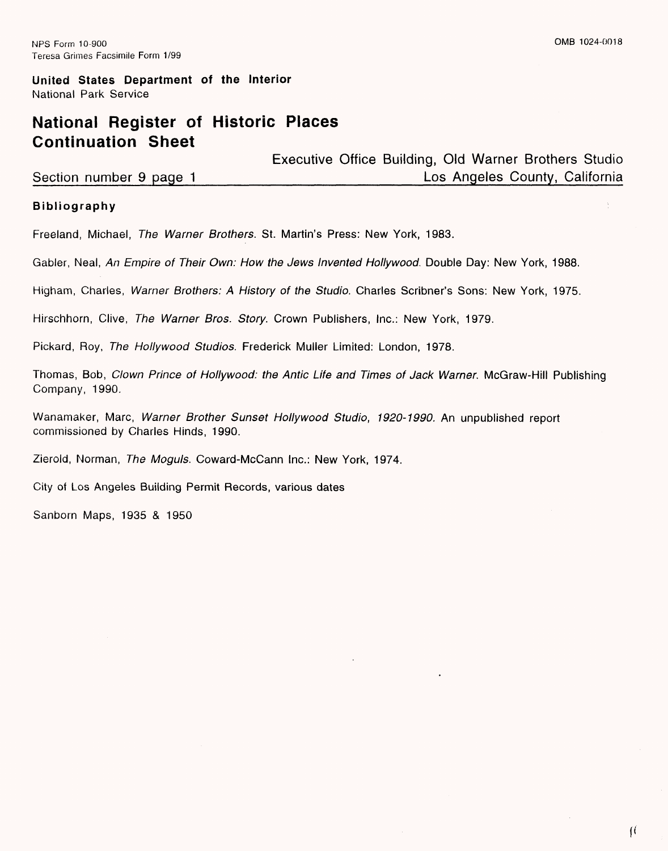## **National Register of Historic Places Continuation Sheet**

|                         | Executive Office Building, Old Warner Brothers Studio |  |
|-------------------------|-------------------------------------------------------|--|
| Section number 9 page 1 | Los Angeles County, California                        |  |

## **Bibliography**

Freeland, Michael, *The Warner Brothers.* St. Martin's Press: New York, 1983.

Gabler, Neal, *An Empire of Their Own: How the Jews Invented Hollywood*. Double Day: New York, 1988.

Higham, Charles, *Warner Brothers: A History of the Studio.* Charles Scribner's Sons: New York, 1975.

Hirschhorn, Clive, *The Warner Bros. Story.* Crown Publishers, Inc.: New York, 1979.

Pickard, Roy, *The Hollywood Studios.* Frederick Muller Limited: London, 1978.

Thomas, Bob, *Clown Prince of Hollywood: the Antic Life and Times of Jack Warner.* McGraw-Hill Publishing Company, 1990.

Wanamaker, Marc, *Warner Brother Sunset Hollywood Studio, 1920-1990.* An unpublished report commissioned by Charles Hinds, 1990.

Zierold, Norman, *The Moguls.* Coward-McCann Inc.: New York, 1974.

City of Los Angeles Building Permit Records, various dates

Sanborn Maps, 1935 & 1950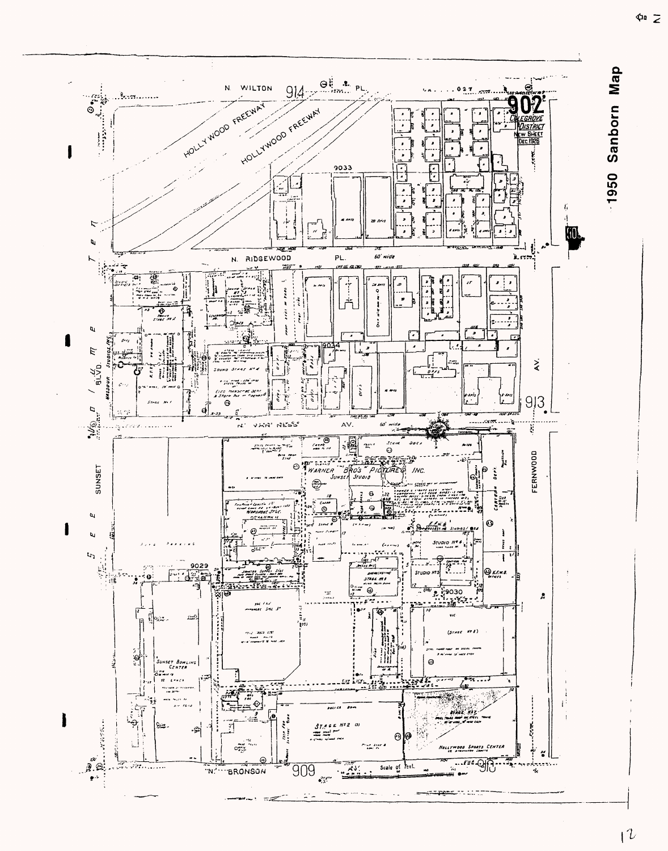